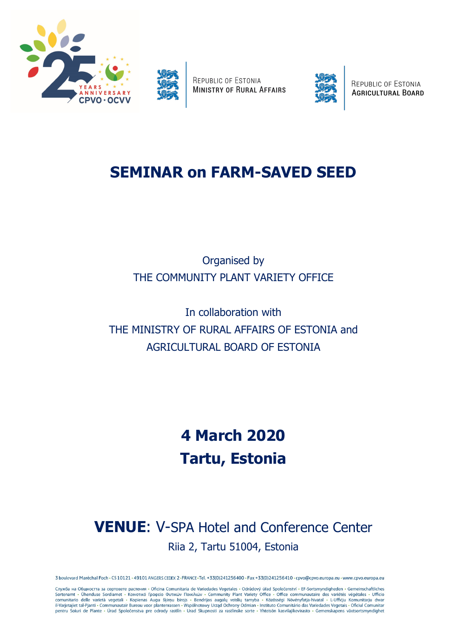



REPUBLIC OF ESTONIA **MINISTRY OF RURAL AFFAIRS** 



REPUBLIC OF ESTONIA **AGRICULTURAL BOARD** 

## SEMINAR on FARM-SAVED SEED

Organised by THE COMMUNITY PLANT VARIETY OFFICE

#### In collaboration with THE MINISTRY OF RURAL AFFAIRS OF ESTONIA and AGRICULTURAL BOARD OF ESTONIA

## 4 March 2020 Tartu, Estonia

### VENUE: V-SPA Hotel and Conference Center Riia 2, Tartu 51004, Estonia

3 boulevard Maréchal Foch · CS 10121 · 49101 ANGERS CEDEX 2 · FRANCE · Tel. +33(0)241256400 · Fax +33(0)241256410 · cpvo@cpvo.europa.eu · www.cpvo.europa.eu

Служба на Общността за сортовете растения • Oficina Comunitaria de Variedades Vegetales • Odrůdový úřad Společenství • EF-Sortsmyndigheden • Gemeinschaftliches Sortenamt - Ühenduse Sordiamet - Κοινοτικό Γραφείο Φυτικών Ποικιλιών - Community Plant Variety Office - Office communautaire des variétés végétales - Ufficio communitario delle varietà vegetali • Kopienas Augu Skirnu birojs • Bendrijos augalų veislių tamyba • Közösségi Növényfatja-hivatal • L-Ufficju Komunitariu dwar<br>il-Varjetajiet tal-Pjanti • Communautair Bureau voor plantenr pentru Soiuri de Plante · Úrad Spoločenstva pre odrody rastlín · Urad Skupnosti za rastlinske sorte · Yhteisön kasvilajikevirasto · Gemenskapens växtsortsmyndighet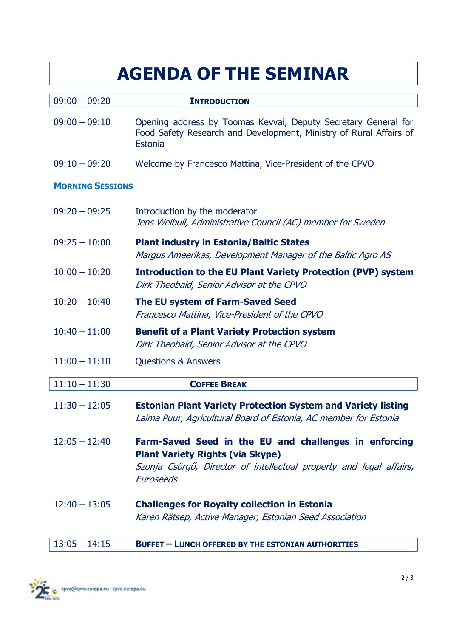# AGENDA OF THE SEMINAR

| $09:00 - 09:20$         | <b>INTRODUCTION</b>                                                                                                                                                                         |  |
|-------------------------|---------------------------------------------------------------------------------------------------------------------------------------------------------------------------------------------|--|
| $09:00 - 09:10$         | Opening address by Toomas Kevvai, Deputy Secretary General for<br>Food Safety Research and Development, Ministry of Rural Affairs of<br>Estonia                                             |  |
| $09:10 - 09:20$         | Welcome by Francesco Mattina, Vice-President of the CPVO                                                                                                                                    |  |
| <b>MORNING SESSIONS</b> |                                                                                                                                                                                             |  |
| $09:20 - 09:25$         | Introduction by the moderator<br>Jens Weibull, Administrative Council (AC) member for Sweden                                                                                                |  |
| $09:25 - 10:00$         | <b>Plant industry in Estonia/Baltic States</b><br>Marqus Ameerikas, Development Manager of the Baltic Agro AS                                                                               |  |
| $10:00 - 10:20$         | <b>Introduction to the EU Plant Variety Protection (PVP) system</b><br>Dirk Theobald, Senior Advisor at the CPVO                                                                            |  |
| $10:20 - 10:40$         | The EU system of Farm-Saved Seed<br>Francesco Mattina, Vice-President of the CPVO                                                                                                           |  |
| $10:40 - 11:00$         | <b>Benefit of a Plant Variety Protection system</b><br>Dirk Theobald, Senior Advisor at the CPVO                                                                                            |  |
| $11:00 - 11:10$         | <b>Questions &amp; Answers</b>                                                                                                                                                              |  |
| $11:10 - 11:30$         | <b>COFFEE BREAK</b>                                                                                                                                                                         |  |
| $11:30 - 12:05$         | <b>Estonian Plant Variety Protection System and Variety listing</b><br>Laima Puur, Agricultural Board of Estonia, AC member for Estonia                                                     |  |
| $12:05 - 12:40$         | Farm-Saved Seed in the EU and challenges in enforcing<br><b>Plant Variety Rights (via Skype)</b><br>Szonja Csörgő, Director of intellectual property and legal affairs,<br><b>Euroseeds</b> |  |
| $12:40 - 13:05$         | <b>Challenges for Royalty collection in Estonia</b><br>Karen Rätsep, Active Manager, Estonian Seed Association                                                                              |  |
| $13:05 - 14:15$         | <b>BUFFET - LUNCH OFFERED BY THE ESTONIAN AUTHORITIES</b>                                                                                                                                   |  |